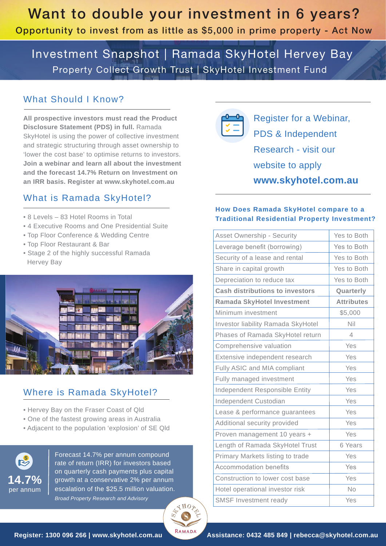Investment Snapshot | Ramada SkyHotel Hervey Bay Property Collect Growth Trust | SkyHotel Investment Fund

### What Should I Know?

**All prospective investors must read the Product Disclosure Statement (PDS) in full.** Ramada SkyHotel is using the power of collective investment and strategic structuring through asset ownership to 'lower the cost base' to optimise returns to investors. **Join a webinar and learn all about the investment and the forecast 14.7% Return on Investment on an IRR basis. Register at www.skyhotel.com.au** 

### What is Ramada SkyHotel?

- 8 Levels 83 Hotel Rooms in Total
- 4 Executive Rooms and One Presidential Suite
- Top Floor Conference & Wedding Centre
- Top Floor Restaurant & Bar
- Stage 2 of the highly successful Ramada Hervey Bay



### Where is Ramada SkyHotel?

- Hervey Bay on the Fraser Coast of Qld
- One of the fastest growing areas in Australia
- Adjacent to the population 'explosion' of SE Qld



Forecast 14.7% per annum compound rate of return (IRR) for investors based on quarterly cash payments plus capital growth at a conservative 2% per annum escalation of the \$25.5 million valuation. *Broad Property Research and Advisory*





Register for a Webinar, PDS & Independent Research - visit our website to apply **www.skyhotel.com.au**

### **How Does Ramada SkyHotel compare to a Traditional Residential Property Investment?**

| <b>Asset Ownership - Security</b>      | Yes to Both              |
|----------------------------------------|--------------------------|
| Leverage benefit (borrowing)           | Yes to Both              |
| Security of a lease and rental         | Yes to Both              |
| Share in capital growth                | Yes to Both              |
| Depreciation to reduce tax             | Yes to Both              |
| <b>Cash distributions to investors</b> | Quarterly                |
| <b>Ramada SkyHotel Investment</b>      | <b>Attributes</b>        |
| Minimum investment                     | \$5,000                  |
| Investor liability Ramada SkyHotel     | Nil                      |
| Phases of Ramada SkyHotel return       | $\overline{\mathcal{A}}$ |
| Comprehensive valuation                | Yes                      |
| Extensive independent research         | Yes                      |
| Fully ASIC and MIA compliant           | Yes                      |
| Fully managed investment               | Yes                      |
| Independent Responsible Entity         | Yes                      |
| Independent Custodian                  | Yes                      |
| Lease & performance guarantees         | Yes                      |
| Additional security provided           | Yes                      |
| Proven management 10 years +           | Yes                      |
| Length of Ramada SkyHotel Trust        | 6 Years                  |
| Primary Markets listing to trade       | Yes                      |
| <b>Accommodation benefits</b>          | Yes                      |
| Construction to lower cost base        | Yes                      |
| Hotel operational investor risk        | No                       |
| <b>SMSF Investment ready</b>           | Yes                      |